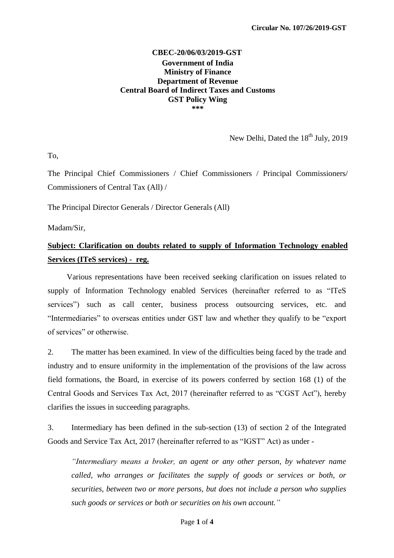## **CBEC-20/06/03/2019-GST Government of India Ministry of Finance Department of Revenue Central Board of Indirect Taxes and Customs GST Policy Wing \*\*\***

New Delhi, Dated the 18<sup>th</sup> July, 2019

To,

The Principal Chief Commissioners / Chief Commissioners / Principal Commissioners/ Commissioners of Central Tax (All) /

The Principal Director Generals / Director Generals (All)

Madam/Sir,

# **Subject: Clarification on doubts related to supply of Information Technology enabled Services (ITeS services) - reg.**

Various representations have been received seeking clarification on issues related to supply of Information Technology enabled Services (hereinafter referred to as "ITeS services") such as call center, business process outsourcing services, etc. and "Intermediaries" to overseas entities under GST law and whether they qualify to be "export of services" or otherwise.

2. The matter has been examined. In view of the difficulties being faced by the trade and industry and to ensure uniformity in the implementation of the provisions of the law across field formations, the Board, in exercise of its powers conferred by section 168 (1) of the Central Goods and Services Tax Act, 2017 (hereinafter referred to as "CGST Act"), hereby clarifies the issues in succeeding paragraphs.

3. Intermediary has been defined in the sub-section (13) of section 2 of the Integrated Goods and Service Tax Act, 2017 (hereinafter referred to as "IGST" Act) as under -

*―Intermediary means a broker, an agent or any other person, by whatever name called, who arranges or facilitates the supply of goods or services or both, or securities, between two or more persons, but does not include a person who supplies such goods or services or both or securities on his own account.‖*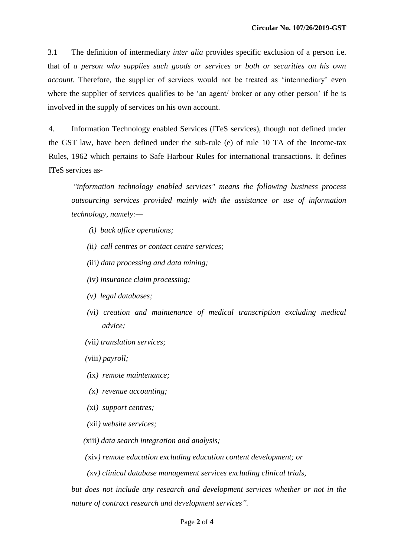3.1 The definition of intermediary *inter alia* provides specific exclusion of a person i.e. that of *a person who supplies such goods or services or both or securities on his own account*. Therefore, the supplier of services would not be treated as 'intermediary' even where the supplier of services qualifies to be 'an agent/ broker or any other person' if he is involved in the supply of services on his own account.

4. Information Technology enabled Services (ITeS services), though not defined under the GST law, have been defined under the sub-rule (e) of rule 10 TA of the Income-tax Rules, 1962 which pertains to Safe Harbour Rules for international transactions. It defines ITeS services as-

*"information technology enabled services" means the following business process outsourcing services provided mainly with the assistance or use of information technology, namely:—*

- *(*i*) back office operations;*
- *(*ii*) call centres or contact centre services;*
- *(*iii*) data processing and data mining;*
- *(*iv*) insurance claim processing;*
- *(*v*) legal databases;*
- *(*vi*) creation and maintenance of medical transcription excluding medical advice;*
- *(*vii*) translation services;*
- *(*viii*) payroll;*
- *(*ix*) remote maintenance;*
- *(*x*) revenue accounting;*
- *(*xi*) support centres;*
- *(*xii*) website services;*

*(*xiii*) data search integration and analysis;*

- *(*xiv*) remote education excluding education content development; or*
- *(*xv*) clinical database management services excluding clinical trials,*

*but does not include any research and development services whether or not in the nature of contract research and development services‖.*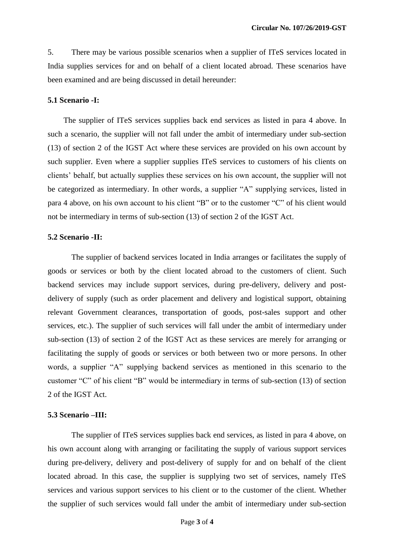5. There may be various possible scenarios when a supplier of ITeS services located in India supplies services for and on behalf of a client located abroad. These scenarios have been examined and are being discussed in detail hereunder:

#### **5.1 Scenario -I:**

 The supplier of ITeS services supplies back end services as listed in para 4 above. In such a scenario, the supplier will not fall under the ambit of intermediary under sub-section (13) of section 2 of the IGST Act where these services are provided on his own account by such supplier. Even where a supplier supplies ITeS services to customers of his clients on clients" behalf, but actually supplies these services on his own account, the supplier will not be categorized as intermediary. In other words, a supplier "A" supplying services, listed in para 4 above, on his own account to his client "B" or to the customer "C" of his client would not be intermediary in terms of sub-section (13) of section 2 of the IGST Act.

### **5.2 Scenario -II:**

The supplier of backend services located in India arranges or facilitates the supply of goods or services or both by the client located abroad to the customers of client. Such backend services may include support services, during pre-delivery, delivery and postdelivery of supply (such as order placement and delivery and logistical support, obtaining relevant Government clearances, transportation of goods, post-sales support and other services, etc.). The supplier of such services will fall under the ambit of intermediary under sub-section (13) of section 2 of the IGST Act as these services are merely for arranging or facilitating the supply of goods or services or both between two or more persons. In other words, a supplier "A" supplying backend services as mentioned in this scenario to the customer "C" of his client "B" would be intermediary in terms of sub-section (13) of section 2 of the IGST Act.

#### **5.3 Scenario –III:**

The supplier of ITeS services supplies back end services, as listed in para 4 above, on his own account along with arranging or facilitating the supply of various support services during pre-delivery, delivery and post-delivery of supply for and on behalf of the client located abroad. In this case, the supplier is supplying two set of services, namely ITeS services and various support services to his client or to the customer of the client. Whether the supplier of such services would fall under the ambit of intermediary under sub-section